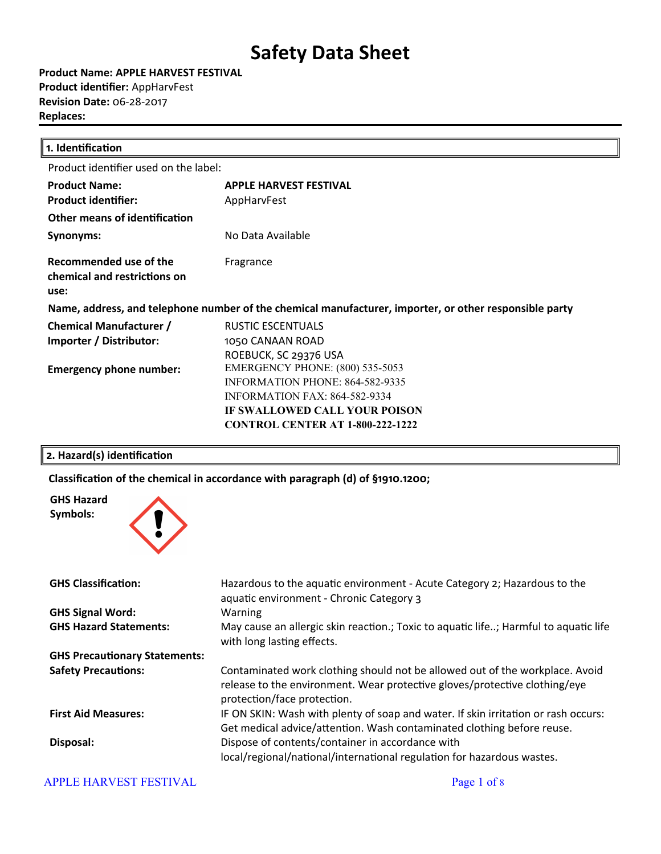**Product Name: APPLE HARVEST FESTIVAL Product identifier: AppHarvFest Revision Date:** 06-28-2017 **Replaces:** 

| 1. Identification                                                                                      |                                         |  |
|--------------------------------------------------------------------------------------------------------|-----------------------------------------|--|
| Product identifier used on the label:                                                                  |                                         |  |
| <b>Product Name:</b>                                                                                   | <b>APPLE HARVEST FESTIVAL</b>           |  |
| <b>Product identifier:</b>                                                                             | AppHarvFest                             |  |
| Other means of identification                                                                          |                                         |  |
| Synonyms:                                                                                              | No Data Available                       |  |
| Recommended use of the<br>chemical and restrictions on<br>use:                                         | Fragrance                               |  |
| Name, address, and telephone number of the chemical manufacturer, importer, or other responsible party |                                         |  |
| <b>Chemical Manufacturer /</b>                                                                         | RUSTIC ESCENTUALS                       |  |
| Importer / Distributor:                                                                                | 1050 CANAAN ROAD                        |  |
|                                                                                                        | ROEBUCK, SC 29376 USA                   |  |
| <b>Emergency phone number:</b>                                                                         | <b>EMERGENCY PHONE: (800) 535-5053</b>  |  |
|                                                                                                        | <b>INFORMATION PHONE: 864-582-9335</b>  |  |
|                                                                                                        | <b>INFORMATION FAX: 864-582-9334</b>    |  |
|                                                                                                        | IF SWALLOWED CALL YOUR POISON           |  |
|                                                                                                        | <b>CONTROL CENTER AT 1-800-222-1222</b> |  |
|                                                                                                        |                                         |  |

#### **2. Hazard(s) identification**

**Classiicaton of the chemical in accordance with paragraph (d) of §1910.1200;**



#### APPLE HARVEST FESTIVAL **Page 1** of 8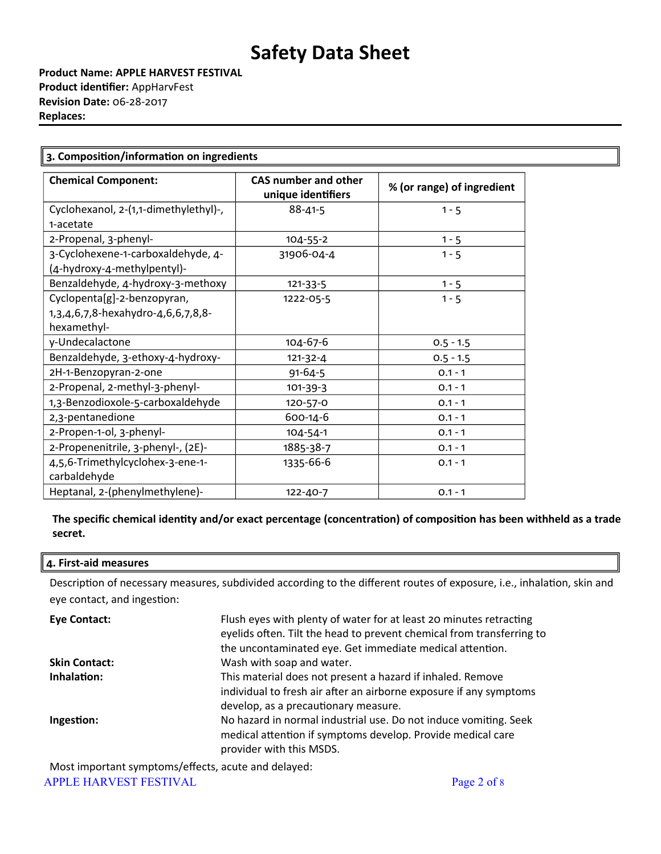**Product Name: APPLE HARVEST FESTIVAL Product identifier: AppHarvFest Revision Date:** 06-28-2017 **Replaces:** 

| <b>CAS number and other</b>                                       |                    |                            |  |
|-------------------------------------------------------------------|--------------------|----------------------------|--|
| <b>Chemical Component:</b>                                        | unique identifiers | % (or range) of ingredient |  |
| Cyclohexanol, 2-(1,1-dimethylethyl)-,<br>1-acetate                | $88 - 41 - 5$      | $1 - 5$                    |  |
| 2-Propenal, 3-phenyl-                                             | 104-55-2           | $1 - 5$                    |  |
| 3-Cyclohexene-1-carboxaldehyde, 4-<br>(4-hydroxy-4-methylpentyl)- | 31906-04-4         | $1 - 5$                    |  |
| Benzaldehyde, 4-hydroxy-3-methoxy                                 | $121 - 33 - 5$     | $1 - 5$                    |  |
| Cyclopenta[g]-2-benzopyran,                                       | 1222-05-5          | $1 - 5$                    |  |
| 1,3,4,6,7,8-hexahydro-4,6,6,7,8,8-                                |                    |                            |  |
| hexamethyl-                                                       |                    |                            |  |
| y-Undecalactone                                                   | 104-67-6           | $0.5 - 1.5$                |  |
| Benzaldehyde, 3-ethoxy-4-hydroxy-                                 | $121 - 32 - 4$     | $0.5 - 1.5$                |  |
| 2H-1-Benzopyran-2-one                                             | $91 - 64 - 5$      | $0.1 - 1$                  |  |
| 2-Propenal, 2-methyl-3-phenyl-                                    | 101-39-3           | $0.1 - 1$                  |  |
| 1,3-Benzodioxole-5-carboxaldehyde                                 | 120-57-0           | $0.1 - 1$                  |  |
| 2,3-pentanedione                                                  | 600-14-6           | $0.1 - 1$                  |  |
| 2-Propen-1-ol, 3-phenyl-                                          | 104-54-1           | $0.1 - 1$                  |  |
| 2-Propenenitrile, 3-phenyl-, (2E)-                                | 1885-38-7          | $0.1 - 1$                  |  |
| 4,5,6-Trimethylcyclohex-3-ene-1-<br>carbaldehyde                  | 1335-66-6          | $0.1 - 1$                  |  |
| Heptanal, 2-(phenylmethylene)-                                    | 122-40-7           | $0.1 - 1$                  |  |

**The speciic chemical identty and/or exact percentage (concentraton) of compositon has been withheld as a trade secret.**

#### **4. First-aid measures**

Description of necessary measures, subdivided according to the different routes of exposure, i.e., inhalation, skin and eye contact, and ingestion:

| <b>Eye Contact:</b>  | Flush eyes with plenty of water for at least 20 minutes retracting<br>eyelids often. Tilt the head to prevent chemical from transferring to<br>the uncontaminated eye. Get immediate medical attention. |
|----------------------|---------------------------------------------------------------------------------------------------------------------------------------------------------------------------------------------------------|
| <b>Skin Contact:</b> | Wash with soap and water.                                                                                                                                                                               |
| Inhalation:          | This material does not present a hazard if inhaled. Remove<br>individual to fresh air after an airborne exposure if any symptoms<br>develop, as a precautionary measure.                                |
| Ingestion:           | No hazard in normal industrial use. Do not induce vomiting. Seek<br>medical attention if symptoms develop. Provide medical care<br>provider with this MSDS.                                             |

Most important symptoms/efects, acute and delayed:

APPLE HARVEST FESTIVAL **Page 2 of 8**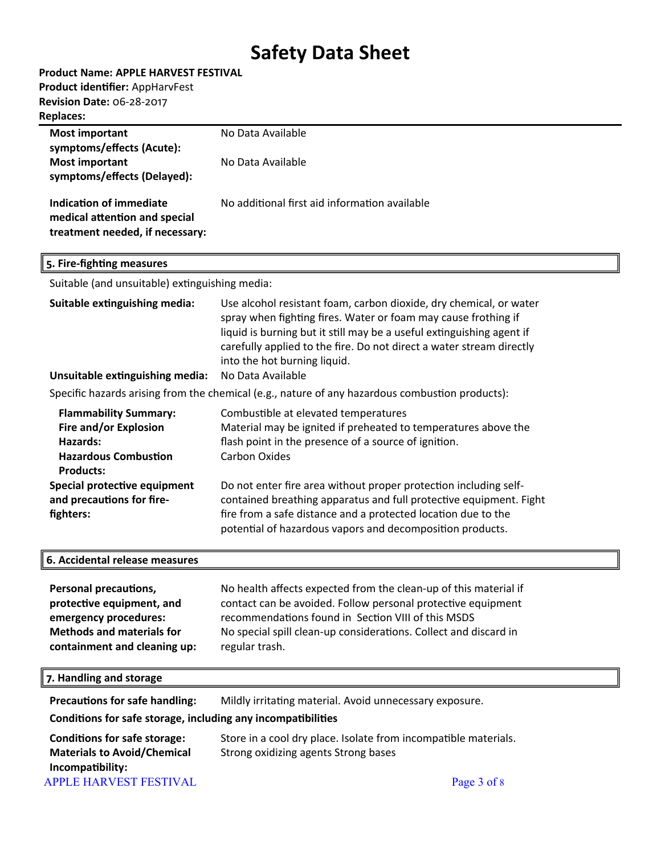| Product Name: APPLE HARVEST FESTIVAL |  |  |  |
|--------------------------------------|--|--|--|
|--------------------------------------|--|--|--|

**Product identifier: AppHarvFest** 

**Revision Date:** 06-28-2017

### **Replaces:**

| <b>Most important</b><br>symptoms/effects (Acute):                                                                                              | No Data Available                                                                                                                                                                                                                                                                                                                          |
|-------------------------------------------------------------------------------------------------------------------------------------------------|--------------------------------------------------------------------------------------------------------------------------------------------------------------------------------------------------------------------------------------------------------------------------------------------------------------------------------------------|
| <b>Most important</b><br>symptoms/effects (Delayed):                                                                                            | No Data Available                                                                                                                                                                                                                                                                                                                          |
| <b>Indication of immediate</b><br>medical attention and special<br>treatment needed, if necessary:                                              | No additional first aid information available                                                                                                                                                                                                                                                                                              |
| 5. Fire-fighting measures                                                                                                                       |                                                                                                                                                                                                                                                                                                                                            |
| Suitable (and unsuitable) extinguishing media:                                                                                                  |                                                                                                                                                                                                                                                                                                                                            |
| Suitable extinguishing media:<br>Unsuitable extinguishing media:                                                                                | Use alcohol resistant foam, carbon dioxide, dry chemical, or water<br>spray when fighting fires. Water or foam may cause frothing if<br>liquid is burning but it still may be a useful extinguishing agent if<br>carefully applied to the fire. Do not direct a water stream directly<br>into the hot burning liquid.<br>No Data Available |
|                                                                                                                                                 | Specific hazards arising from the chemical (e.g., nature of any hazardous combustion products):                                                                                                                                                                                                                                            |
| <b>Flammability Summary:</b><br>Fire and/or Explosion<br>Hazards:<br><b>Hazardous Combustion</b><br><b>Products:</b>                            | Combustible at elevated temperatures<br>Material may be ignited if preheated to temperatures above the<br>flash point in the presence of a source of ignition.<br><b>Carbon Oxides</b>                                                                                                                                                     |
| Special protective equipment<br>and precautions for fire-<br>fighters:                                                                          | Do not enter fire area without proper protection including self-<br>contained breathing apparatus and full protective equipment. Fight<br>fire from a safe distance and a protected location due to the<br>potential of hazardous vapors and decomposition products.                                                                       |
| 6. Accidental release measures                                                                                                                  |                                                                                                                                                                                                                                                                                                                                            |
| Personal precautions,<br>protective equipment, and<br>emergency procedures:<br><b>Methods and materials for</b><br>containment and cleaning up: | No health affects expected from the clean-up of this material if<br>contact can be avoided. Follow personal protective equipment<br>recommendations found in Section VIII of this MSDS<br>No special spill clean-up considerations. Collect and discard in<br>regular trash.                                                               |
| 7. Handling and storage                                                                                                                         |                                                                                                                                                                                                                                                                                                                                            |
| <b>Precautions for safe handling:</b>                                                                                                           | Mildly irritating material. Avoid unnecessary exposure.                                                                                                                                                                                                                                                                                    |
| Conditions for safe storage, including any incompatibilities                                                                                    |                                                                                                                                                                                                                                                                                                                                            |
| <b>Conditions for safe storage:</b><br><b>Materials to Avoid/Chemical</b><br>Incompatibility:<br><b>APPLE HARVEST FESTIVAL</b>                  | Store in a cool dry place. Isolate from incompatible materials.<br>Strong oxidizing agents Strong bases<br>Page 3 of 8                                                                                                                                                                                                                     |
|                                                                                                                                                 |                                                                                                                                                                                                                                                                                                                                            |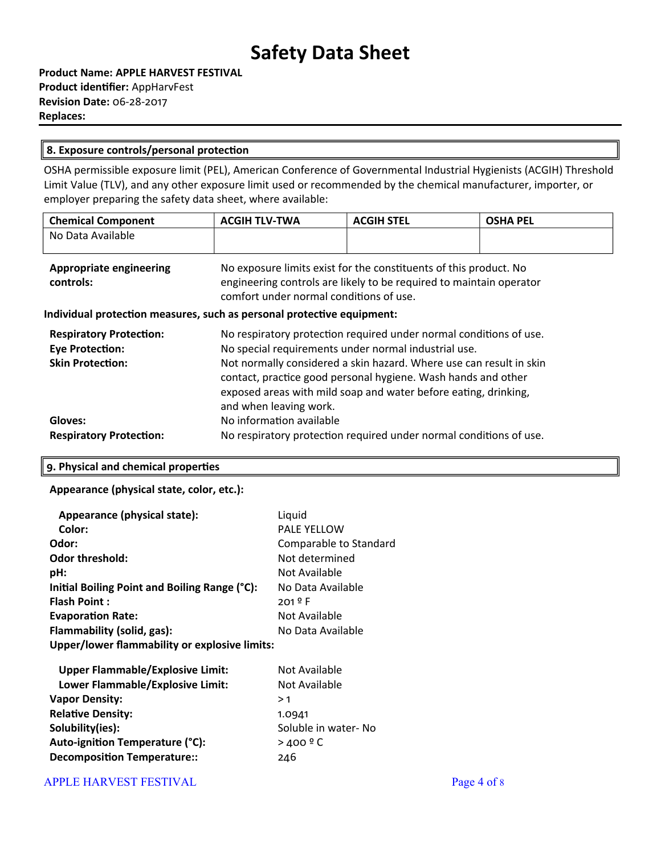| Product Name: APPLE HARVEST FESTIVAL   |
|----------------------------------------|
| <b>Product identifier: AppHarvFest</b> |
| <b>Revision Date: 06-28-2017</b>       |
| <b>Replaces:</b>                       |

#### **8. Exposure controls/personal protecton**

OSHA permissible exposure limit (PEL), American Conference of Governmental Industrial Hygienists (ACGIH) Threshold Limit Value (TLV), and any other exposure limit used or recommended by the chemical manufacturer, importer, or employer preparing the safety data sheet, where available:

| <b>Chemical Component</b> | <b>ACGIH TLV-TWA</b> | <b>ACGIH STEL</b> | <b>OSHA PEL</b> |
|---------------------------|----------------------|-------------------|-----------------|
| No Data Available         |                      |                   |                 |
|                           |                      |                   |                 |

| <b>Appropriate engineering</b><br>controls:                                         | No exposure limits exist for the constituents of this product. No<br>engineering controls are likely to be required to maintain operator<br>comfort under normal conditions of use.                                                                                                                                                                             |
|-------------------------------------------------------------------------------------|-----------------------------------------------------------------------------------------------------------------------------------------------------------------------------------------------------------------------------------------------------------------------------------------------------------------------------------------------------------------|
|                                                                                     | Individual protection measures, such as personal protective equipment:                                                                                                                                                                                                                                                                                          |
| <b>Respiratory Protection:</b><br><b>Eye Protection:</b><br><b>Skin Protection:</b> | No respiratory protection required under normal conditions of use.<br>No special requirements under normal industrial use.<br>Not normally considered a skin hazard. Where use can result in skin<br>contact, practice good personal hygiene. Wash hands and other<br>exposed areas with mild soap and water before eating, drinking,<br>and when leaving work. |
| Gloves:                                                                             | No information available                                                                                                                                                                                                                                                                                                                                        |
| <b>Respiratory Protection:</b>                                                      | No respiratory protection required under normal conditions of use.                                                                                                                                                                                                                                                                                              |

#### **9. Physical and chemical propertes**

#### **Appearance (physical state, color, etc.):**

| Appearance (physical state):                  | Liquid                 |
|-----------------------------------------------|------------------------|
| Color:                                        | <b>PALE YELLOW</b>     |
| Odor:                                         | Comparable to Standard |
| <b>Odor threshold:</b>                        | Not determined         |
| pH:                                           | Not Available          |
| Initial Boiling Point and Boiling Range (°C): | No Data Available      |
| <b>Flash Point:</b>                           | $201^{\circ}$ F        |
| <b>Evaporation Rate:</b>                      | Not Available          |
| Flammability (solid, gas):                    | No Data Available      |
| Upper/lower flammability or explosive limits: |                        |
| <b>Upper Flammable/Explosive Limit:</b>       | Not Available          |
| Lower Flammable/Explosive Limit:              | Not Available          |
| <b>Vapor Density:</b>                         | >1                     |
| <b>Relative Density:</b>                      | 1.0941                 |
| Solubility(ies):                              | Soluble in water- No   |

Auto-ignition Temperature (°C): <br>  $>400$  <sup>o</sup> C **Decompositon Temperature::** 246

APPLE HARVEST FESTIVAL **Page 4 of 8**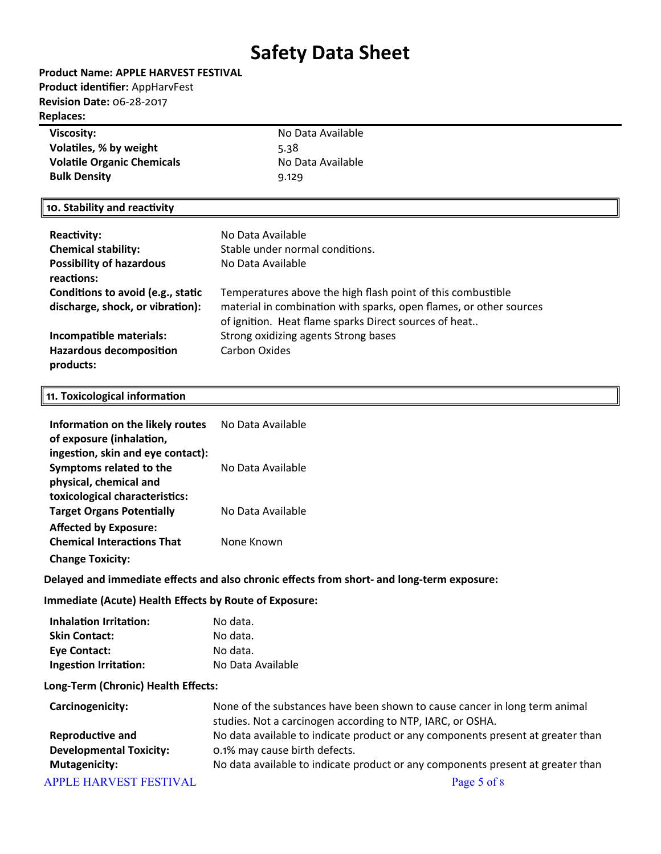**Product Name: APPLE HARVEST FESTIVAL Product identifier: AppHarvFest Revision Date:** 06-28-2017 **Replaces:** 

### **Viscosity: No Data Available Volatiles, % by weight** 5.38 **Volatile Organic Chemicals** No Data Available **Bulk Density** 9.129

#### **10. Stability and reactivity**

| <b>Reactivity:</b>                          | No Data Available                                                                                                           |
|---------------------------------------------|-----------------------------------------------------------------------------------------------------------------------------|
| <b>Chemical stability:</b>                  | Stable under normal conditions.                                                                                             |
| <b>Possibility of hazardous</b>             | No Data Available                                                                                                           |
| reactions:                                  |                                                                                                                             |
| Conditions to avoid (e.g., static           | Temperatures above the high flash point of this combustible                                                                 |
| discharge, shock, or vibration):            | material in combination with sparks, open flames, or other sources<br>of ignition. Heat flame sparks Direct sources of heat |
| Incompatible materials:                     | Strong oxidizing agents Strong bases                                                                                        |
| <b>Hazardous decomposition</b><br>products: | <b>Carbon Oxides</b>                                                                                                        |

#### **11. Toxicological information**

| Information on the likely routes<br>of exposure (inhalation,<br>ingestion, skin and eye contact):  | No Data Available |
|----------------------------------------------------------------------------------------------------|-------------------|
| Symptoms related to the<br>physical, chemical and                                                  | No Data Available |
| toxicological characteristics:<br><b>Target Organs Potentially</b><br><b>Affected by Exposure:</b> | No Data Available |
| <b>Chemical Interactions That</b><br><b>Change Toxicity:</b>                                       | None Known        |

#### **Delayed and immediate efects and also chronic efects from short- and long-term exposure:**

#### **Immediate (Acute) Health Efects by Route of Exposure:**

| Inhalation Irritation:       | No data.          |
|------------------------------|-------------------|
| <b>Skin Contact:</b>         | No data.          |
| <b>Eye Contact:</b>          | No data.          |
| <b>Ingestion Irritation:</b> | No Data Available |

#### **Long-Term (Chronic) Health Efects:**

| Carcinogenicity:               | None of the substances have been shown to cause cancer in long term animal<br>studies. Not a carcinogen according to NTP, IARC, or OSHA. |  |
|--------------------------------|------------------------------------------------------------------------------------------------------------------------------------------|--|
| <b>Reproductive and</b>        | No data available to indicate product or any components present at greater than                                                          |  |
| <b>Developmental Toxicity:</b> | 0.1% may cause birth defects.                                                                                                            |  |
| <b>Mutagenicity:</b>           | No data available to indicate product or any components present at greater than                                                          |  |
| <b>APPLE HARVEST FESTIVAL</b>  | Page 5 of 8                                                                                                                              |  |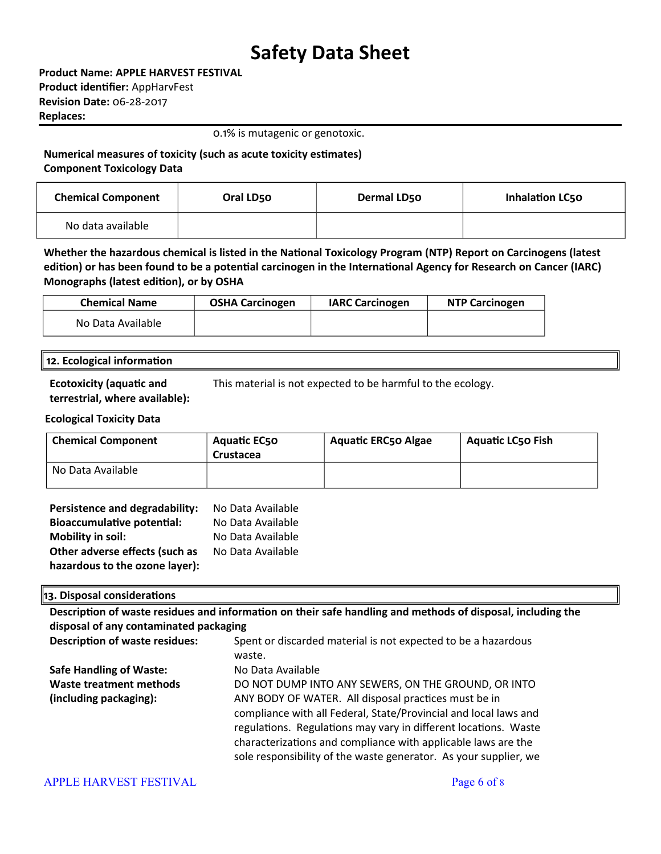**Product Name: APPLE HARVEST FESTIVAL Product identifier: AppHarvFest Revision Date:** 06-28-2017 **Replaces:** 

0.1% is mutagenic or genotoxic.

**Numerical measures of toxicity (such as acute toxicity estmates) Component Toxicology Data**

| <b>Chemical Component</b> | Oral LD50 | Dermal LD50 | <b>Inhalation LC50</b> |
|---------------------------|-----------|-------------|------------------------|
| No data available         |           |             |                        |

Whether the hazardous chemical is listed in the National Toxicology Program (NTP) Report on Carcinogens (latest edition) or has been found to be a potential carcinogen in the International Agency for Research on Cancer (IARC) **Monographs (latest editon), or by OSHA**

| <b>Chemical Name</b> | <b>OSHA Carcinogen</b> | <b>IARC Carcinogen</b> | <b>NTP Carcinogen</b> |
|----------------------|------------------------|------------------------|-----------------------|
| No Data Available    |                        |                        |                       |

#### **12. Ecological information**

**Ecotoxicity (aquatic and terrestrial, where available):** This material is not expected to be harmful to the ecology.

### **Ecological Toxicity Data**

| <b>Chemical Component</b> | <b>Aquatic EC50</b><br>Crustacea | <b>Aquatic ERC50 Algae</b> | <b>Aquatic LC50 Fish</b> |
|---------------------------|----------------------------------|----------------------------|--------------------------|
| No Data Available         |                                  |                            |                          |

| Persistence and degradability:    | No Data Available |
|-----------------------------------|-------------------|
| <b>Bioaccumulative potential:</b> | No Data Available |
| <b>Mobility in soil:</b>          | No Data Available |
| Other adverse effects (such as    | No Data Available |
| hazardous to the ozone layer):    |                   |

#### **13. Disposal consideratons**

Description of waste residues and information on their safe handling and methods of disposal, including the **disposal of any contaminated packaging**

| <b>Description of waste residues:</b> | Spent or discarded material is not expected to be a hazardous<br>waste. |
|---------------------------------------|-------------------------------------------------------------------------|
| <b>Safe Handling of Waste:</b>        | No Data Available                                                       |
| Waste treatment methods               | DO NOT DUMP INTO ANY SEWERS, ON THE GROUND, OR INTO                     |
| (including packaging):                | ANY BODY OF WATER. All disposal practices must be in                    |
|                                       | compliance with all Federal, State/Provincial and local laws and        |
|                                       | regulations. Regulations may vary in different locations. Waste         |
|                                       | characterizations and compliance with applicable laws are the           |
|                                       | sole responsibility of the waste generator. As your supplier, we        |

#### APPLE HARVEST FESTIVAL Page 6 of 8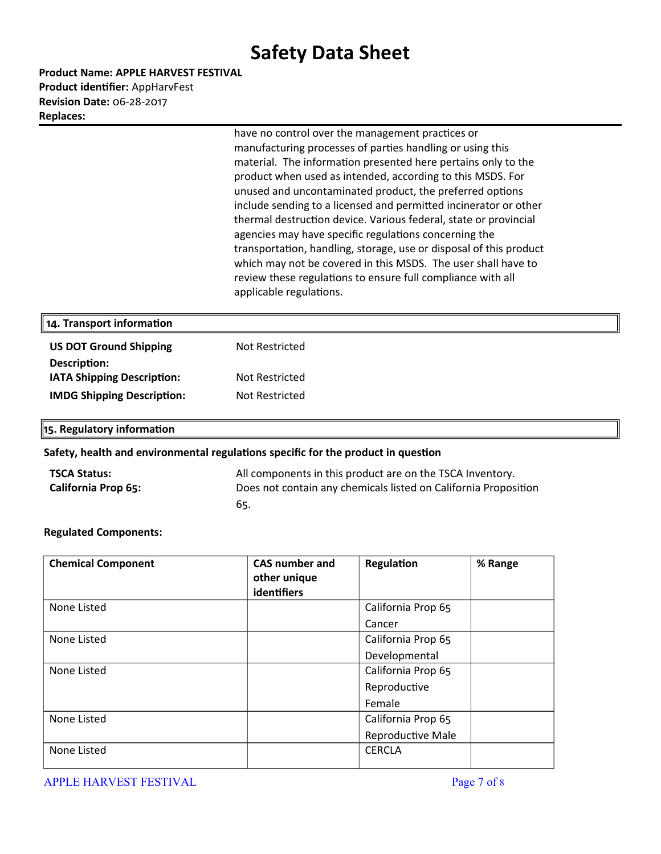**Product Name: APPLE HARVEST FESTIVAL Product identifier: AppHarvFest Revision Date:** 06-28-2017 **Replaces:** 

> have no control over the management practices or manufacturing processes of parties handling or using this material. The information presented here pertains only to the product when used as intended, according to this MSDS. For unused and uncontaminated product, the preferred options include sending to a licensed and permited incinerator or other thermal destruction device. Various federal, state or provincial agencies may have specific regulations concerning the transportation, handling, storage, use or disposal of this product which may not be covered in this MSDS. The user shall have to review these regulations to ensure full compliance with all applicable regulations.

| 14. Transport information         |                |  |
|-----------------------------------|----------------|--|
| <b>US DOT Ground Shipping</b>     | Not Restricted |  |
| Description:                      |                |  |
| <b>IATA Shipping Description:</b> | Not Restricted |  |
| <b>IMDG Shipping Description:</b> | Not Restricted |  |
|                                   |                |  |

**15. Regulatory informaton**

#### **Safety, health and environmental regulatons speciic for the product in queston**

| <b>TSCA Status:</b>        | All components in this product are on the TSCA Inventory.       |
|----------------------------|-----------------------------------------------------------------|
| <b>California Prop 65:</b> | Does not contain any chemicals listed on California Proposition |
|                            | -65.                                                            |

#### **Regulated Components:**

| <b>Chemical Component</b> | <b>CAS number and</b><br>other unique<br>identifiers | Regulation               | % Range |
|---------------------------|------------------------------------------------------|--------------------------|---------|
| None Listed               |                                                      | California Prop 65       |         |
|                           |                                                      | Cancer                   |         |
| None Listed               |                                                      | California Prop 65       |         |
|                           |                                                      | Developmental            |         |
| None Listed               |                                                      | California Prop 65       |         |
|                           |                                                      | Reproductive             |         |
|                           |                                                      | Female                   |         |
| None Listed               |                                                      | California Prop 65       |         |
|                           |                                                      | <b>Reproductive Male</b> |         |
| None Listed               |                                                      | <b>CERCLA</b>            |         |

APPLE HARVEST FESTIVAL **Page 7** of 8